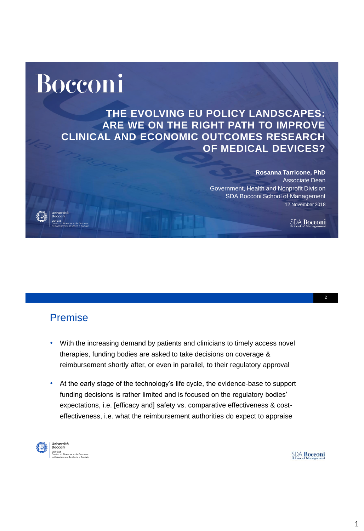# Bocconi

**THE EVOLVING EU POLICY LANDSCAPES: ARE WE ON THE RIGHT PATH TO IMPROVE CLINICAL AND ECONOMIC OUTCOMES RESEARCH OF MEDICAL DEVICES?**

> **Rosanna Tarricone, PhD** Associate Dean Government, Health and Nonprofit Division SDA Bocconi School of Management 12 November 2018

> > **SDA Bocconi**

#### Premise

- With the increasing demand by patients and clinicians to timely access novel therapies, funding bodies are asked to take decisions on coverage & reimbursement shortly after, or even in parallel, to their regulatory approval
- At the early stage of the technology's life cycle, the evidence-base to support funding decisions is rather limited and is focused on the regulatory bodies' expectations, i.e. [efficacy and] safety vs. comparative effectiveness & costeffectiveness, i.e. what the reimbursement authorities do expect to appraise



**Università<br>Bocconi<br>ceroas**<br>Centro di Ricerche sulla Gestione<br>dell'Assistenza Sanitaria e Sociale

**SDA Bocconi**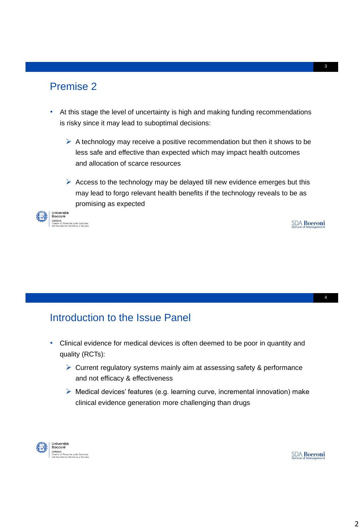### Premise 2

- At this stage the level of uncertainty is high and making funding recommendations is risky since it may lead to suboptimal decisions:
	- $\triangleright$  A technology may receive a positive recommendation but then it shows to be less safe and effective than expected which may impact health outcomes and allocation of scarce resources
	- $\triangleright$  Access to the technology may be delayed till new evidence emerges but this may lead to forgo relevant health benefits if the technology reveals to be as promising as expected



ne sulla Gestione<br>anitaria e Sociale

#### **SDA Bocconi**

## Introduction to the Issue Panel

- Clinical evidence for medical devices is often deemed to be poor in quantity and quality (RCTs):
	- $\triangleright$  Current regulatory systems mainly aim at assessing safety & performance and not efficacy & effectiveness
	- $\triangleright$  Medical devices' features (e.g. learning curve, incremental innovation) make clinical evidence generation more challenging than drugs